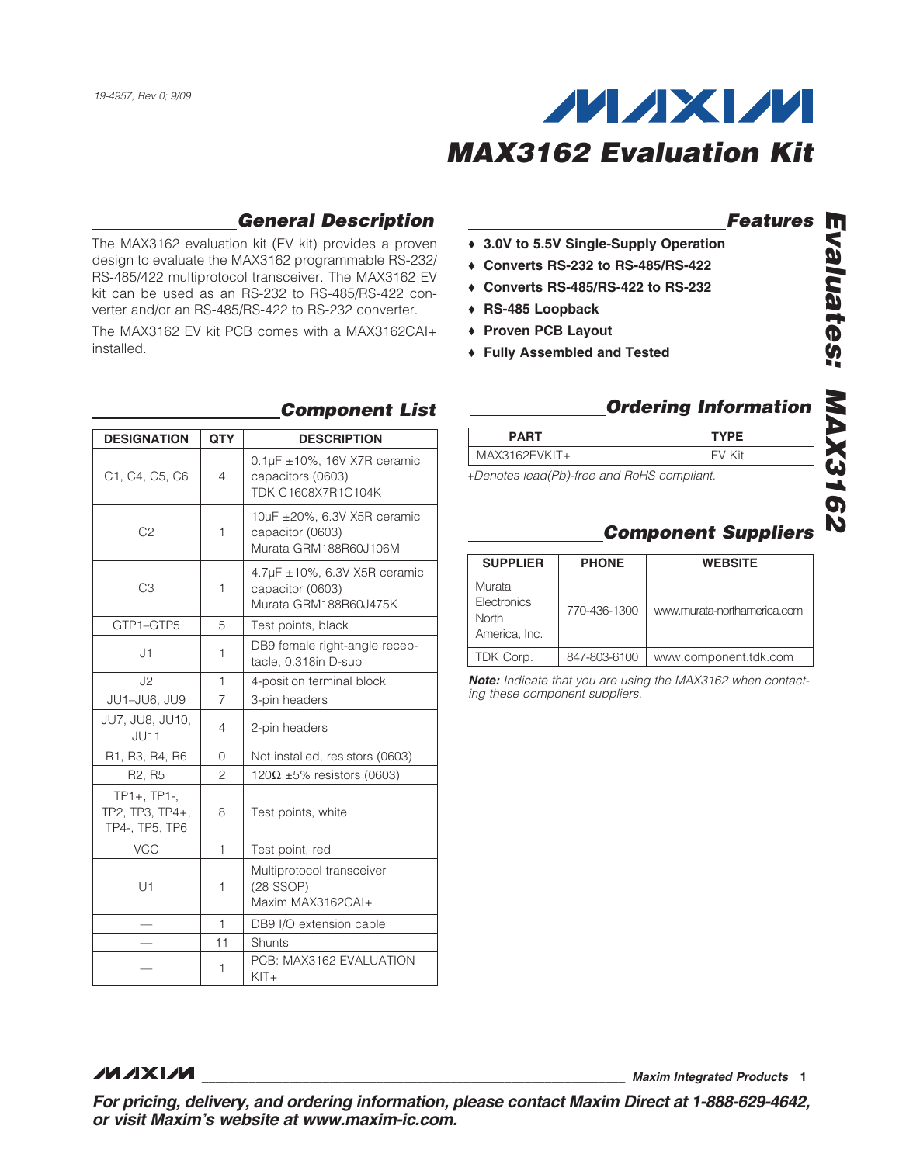

#### *General Description*

The MAX3162 evaluation kit (EV kit) provides a proven design to evaluate the MAX3162 programmable RS-232/ RS-485/422 multiprotocol transceiver. The MAX3162 EV kit can be used as an RS-232 to RS-485/RS-422 converter and/or an RS-485/RS-422 to RS-232 converter.

The MAX3162 EV kit PCB comes with a MAX3162CAI+ installed.

#### *Features*

- ◆ 3.0V to 5.5V Single-Supply Operation
- $\triangleleft$  Converts RS-232 to RS-485/RS-422
- ◆ Converts RS-485/RS-422 to RS-232
- ◆ RS-485 Loopback
- ◆ Proven PCB Layout
- ◆ Fully Assembled and Tested

| <b>DESIGNATION</b>                                                | <b>QTY</b>     | <b>DESCRIPTION</b>                                                          |
|-------------------------------------------------------------------|----------------|-----------------------------------------------------------------------------|
| C <sub>1</sub> , C <sub>4</sub> , C <sub>5</sub> , C <sub>6</sub> | 4              | $0.1\mu$ F ±10%, 16V X7R ceramic<br>capacitors (0603)<br>TDK C1608X7R1C104K |
| C <sub>2</sub>                                                    | 1              | 10µF ±20%, 6.3V X5R ceramic<br>capacitor (0603)<br>Murata GRM188R60J106M    |
| C <sub>3</sub>                                                    | 1              | 4.7µF ±10%, 6.3V X5R ceramic<br>capacitor (0603)<br>Murata GRM188R60J475K   |
| GTP1-GTP5                                                         | 5              | Test points, black                                                          |
| J1                                                                | 1              | DB9 female right-angle recep-<br>tacle, 0.318in D-sub                       |
| J2                                                                | $\mathbf{1}$   | 4-position terminal block                                                   |
| JU1-JU6, JU9                                                      | 7              | 3-pin headers                                                               |
| JU7, JU8, JU10,<br>JU11                                           | 4              | 2-pin headers                                                               |
| R1, R3, R4, R6                                                    | 0              | Not installed, resistors (0603)                                             |
| R <sub>2</sub> , R <sub>5</sub>                                   | $\overline{c}$ | 120 $\Omega$ ±5% resistors (0603)                                           |
| TP1+, TP1-,<br>TP2. TP3. TP4+.<br>TP4-, TP5, TP6                  | 8              | Test points, white                                                          |
| <b>VCC</b>                                                        | 1              | Test point, red                                                             |
| U1                                                                | 1              | Multiprotocol transceiver<br>$(28$ SSOP)<br>Maxim MAX3162CAI+               |
|                                                                   | $\mathbf{1}$   | DB9 I/O extension cable                                                     |
|                                                                   | 11             | Shunts                                                                      |
|                                                                   | 1              | PCB: MAX3162 EVALUATION<br>$KIT +$                                          |

### **Component List Component List Component List**

| <b>PART</b>                                | <b>TYPE</b> |
|--------------------------------------------|-------------|
| $MAX3162EVKIT+$                            | FV Kit      |
| +Denotes lead(Pb)-free and RoHS compliant. |             |

# *Evaluates: MAX3162* valuates: **MAX3162**

#### *Component Suppliers*

| <b>SUPPLIER</b>                                 | <b>PHONE</b> | <b>WEBSITE</b>              |
|-------------------------------------------------|--------------|-----------------------------|
| Murata<br>Electronics<br>North<br>America, Inc. | 770-436-1300 | www.murata-northamerica.com |
| TDK Corp.                                       | 847-803-6100 | www.component.tdk.com       |

*Note: Indicate that you are using the MAX3162 when contacting these component suppliers.*

**MAXIM** 

\_\_\_\_\_\_\_\_\_\_\_\_\_\_\_\_\_\_\_\_\_\_\_\_\_\_\_\_\_\_\_\_\_\_\_\_\_\_\_\_\_\_\_\_\_\_\_\_\_\_\_\_\_\_\_\_\_\_\_\_\_\_\_ *Maxim Integrated Products* 1

*For pricing, delivery, and ordering information, please contact Maxim Direct at 1-888-629-4642, or visit Maxim's website at www.maxim-ic.com.*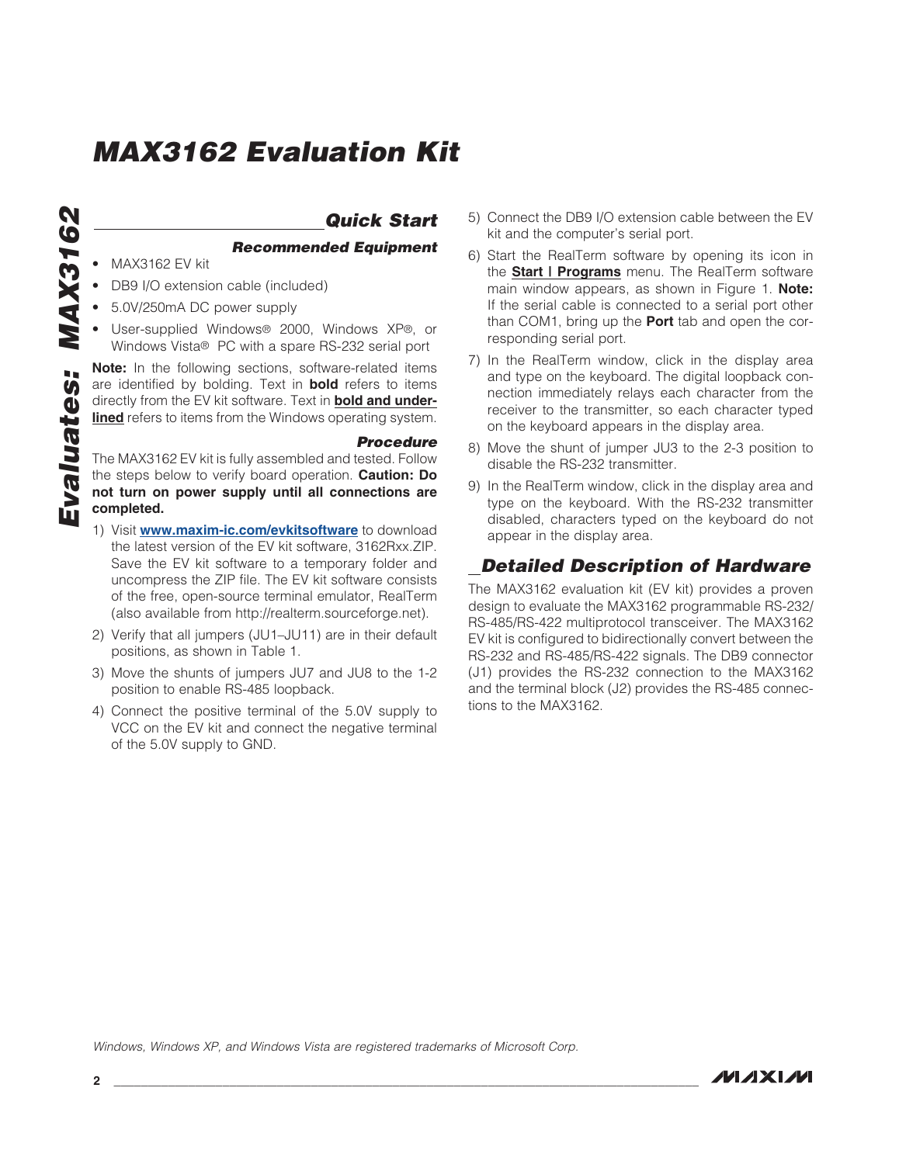## **MAX3162** *Evaluates: MAX3162* Evaluates:

#### *Quick Start*

*Recommended Equipment*

- **MAX3162 EV kit**
- DB9 I/O extension cable (included)
- 5.0V/250mA DC power supply
- User-supplied Windows® 2000, Windows XP®, or Windows Vista<sup>®</sup> PC with a spare RS-232 serial port

**Note:** In the following sections, software-related items are identified by bolding. Text in **bold** refers to items directly from the EV kit software. Text in **bold and underlined** refers to items from the Windows operating system.

#### *Procedure*

The MAX3162 EV kit is fully assembled and tested. Follow the steps below to verify board operation. Caution: Do not turn on power supply until all connections are completed.

- 1) Visit **[www.maxim-ic.com/evkitsoftware](http://www.maxim-ic.com/evkitsoftware)** to download the latest version of the EV kit software, 3162Rxx.ZIP. Save the EV kit software to a temporary folder and uncompress the ZIP file. The EV kit software consists of the free, open-source terminal emulator, RealTerm (also available from http://realterm.sourceforge.net).
- 2) Verify that all jumpers (JU1–JU11) are in their default positions, as shown in Table 1.
- 3) Move the shunts of jumpers JU7 and JU8 to the 1-2 position to enable RS-485 loopback.
- 4) Connect the positive terminal of the 5.0V supply to VCC on the EV kit and connect the negative terminal of the 5.0V supply to GND.
- 5) Connect the DB9 I/O extension cable between the EV kit and the computer's serial port.
- 6) Start the RealTerm software by opening its icon in the Start | Programs menu. The RealTerm software main window appears, as shown in Figure 1. Note: If the serial cable is connected to a serial port other than COM1, bring up the **Port** tab and open the corresponding serial port.
- 7) In the RealTerm window, click in the display area and type on the keyboard. The digital loopback connection immediately relays each character from the receiver to the transmitter, so each character typed on the keyboard appears in the display area.
- 8) Move the shunt of jumper JU3 to the 2-3 position to disable the RS-232 transmitter.
- 9) In the RealTerm window, click in the display area and type on the keyboard. With the RS-232 transmitter disabled, characters typed on the keyboard do not appear in the display area.

#### *Detailed Description of Hardware*

The MAX3162 evaluation kit (EV kit) provides a proven design to evaluate the MAX3162 programmable RS-232/ RS-485/RS-422 multiprotocol transceiver. The MAX3162 EV kit is configured to bidirectionally convert between the RS-232 and RS-485/RS-422 signals. The DB9 connector (J1) provides the RS-232 connection to the MAX3162 and the terminal block (J2) provides the RS-485 connections to the MAX3162.

*Windows, Windows XP, and Windows Vista are registered trademarks of Microsoft Corp.*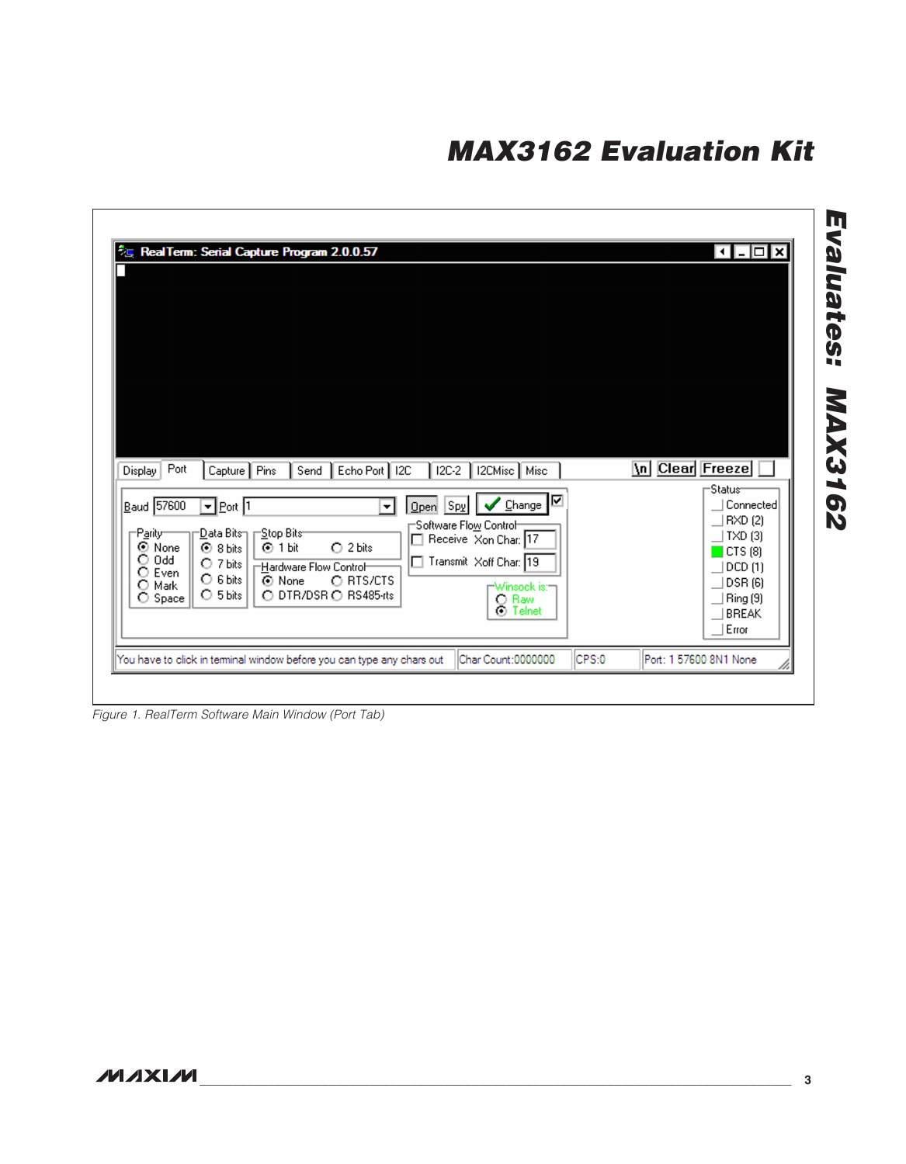| Port<br>Capture   Pins   Send   Echo Port   I2C<br>  I2C-2   I2CMisc   Misc<br>Display                                                                                                                                                                                                                                                                                                                                                                                                                                 | \n Clear Freeze<br>-Status-                                                                                          |
|------------------------------------------------------------------------------------------------------------------------------------------------------------------------------------------------------------------------------------------------------------------------------------------------------------------------------------------------------------------------------------------------------------------------------------------------------------------------------------------------------------------------|----------------------------------------------------------------------------------------------------------------------|
| ⊽<br>$B$ aud 57600<br>$\sqrt{\ }$ Change<br>$\overline{=}$ Port 1<br>$Qpen$ Spy<br>▾<br>Software Flo <u>w</u> Control<br>-Stop Bits-<br>∙ <u>D</u> ata Bits⊓<br><b>⊣Parity</b><br>Receive Xon Char: 17<br>⊙ None<br>O2 bits<br>$\odot$ 8 bits<br>⑤1 bit<br>$O$ 0dd<br>□ Transmit Xoff Char: 19<br>$O$ 7 bits<br><b>Hardware Flow Control-</b><br>$O$ Even<br>$\circ$ 6 bits<br>O RTS/CTS<br>⊙ None<br>O Mark<br><b>⊤Winsock is:⊤</b><br>O DTR/DSR O RS485-rts<br>$\circ$ 5 bits<br>O Space<br>C Raw<br><b>O</b> Telnet | Connected<br>  RXD (2)<br>  TXD (3)<br>$\blacksquare$ CTS (8)<br>  DCD (1)<br> DSR (6)<br>  Ring (9)<br><b>BREAK</b> |

*Figure 1. RealTerm Software Main Window (Port Tab)*

 $\overline{\phantom{a}}$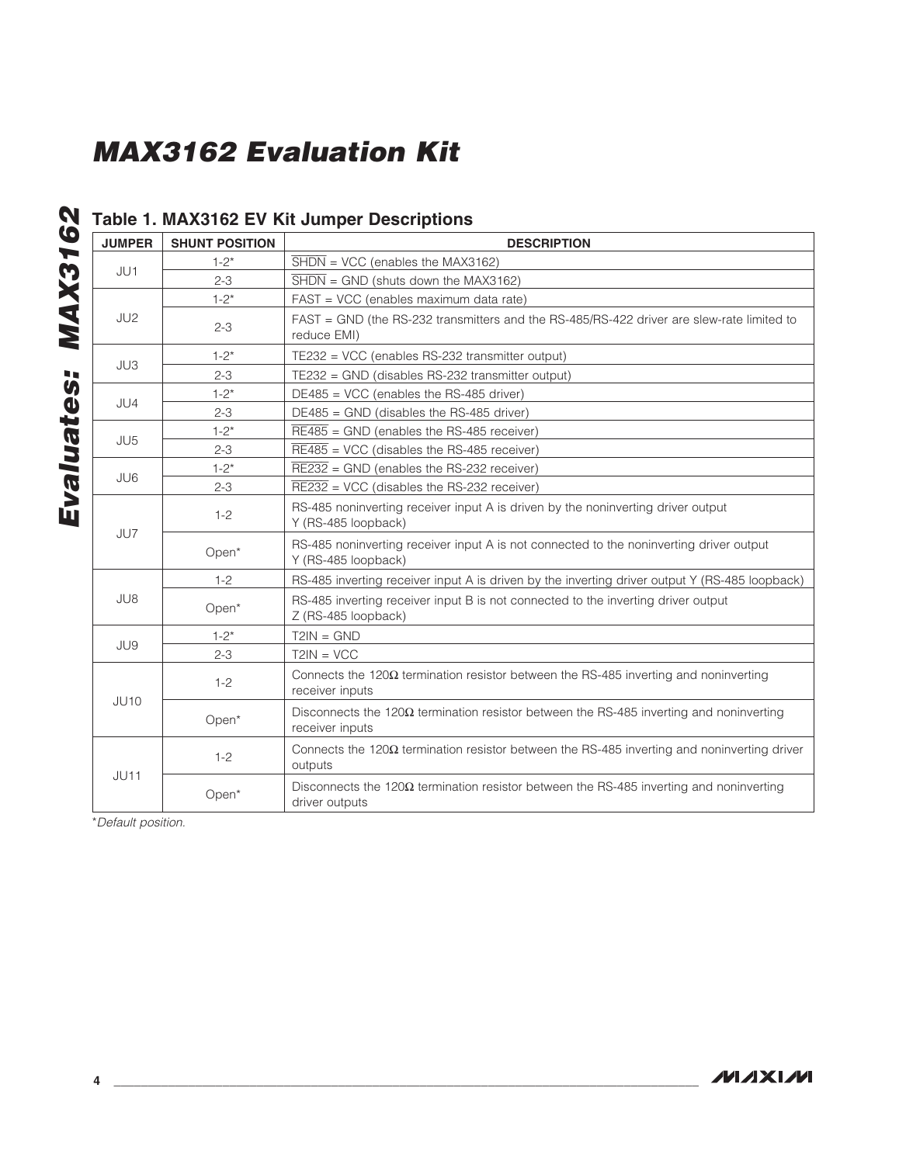#### Table 1. MAX3162 EV Kit Jumper Descriptions

| <b>JUMPER</b>   | <b>SHUNT POSITION</b> | <b>DESCRIPTION</b>                                                                                                |
|-----------------|-----------------------|-------------------------------------------------------------------------------------------------------------------|
|                 | $1 - 2^*$             | $SHDN = VCC$ (enables the MAX3162)                                                                                |
| JU1             | $2 - 3$               | $\overline{\text{SHDN}}$ = GND (shuts down the MAX3162)                                                           |
| JU <sub>2</sub> | $1 - 2^*$             | FAST = VCC (enables maximum data rate)                                                                            |
|                 | $2 - 3$               | FAST = GND (the RS-232 transmitters and the RS-485/RS-422 driver are slew-rate limited to<br>reduce EMI)          |
| JU3             | $1 - 2^*$             | TE232 = VCC (enables RS-232 transmitter output)                                                                   |
|                 | $2 - 3$               | TE232 = GND (disables RS-232 transmitter output)                                                                  |
| JU4             | $1 - 2^*$             | $DE485 = VCC$ (enables the RS-485 driver)                                                                         |
|                 | $2 - 3$               | $DE485 = GND$ (disables the RS-485 driver)                                                                        |
| JU <sub>5</sub> | $1 - 2^*$             | $RE485 = GND$ (enables the RS-485 receiver)                                                                       |
|                 | $2 - 3$               | $\overline{\text{RE485}}$ = VCC (disables the RS-485 receiver)                                                    |
| JU6             | $1 - 2^*$             | $\overline{\text{RE232}}$ = GND (enables the RS-232 receiver)                                                     |
|                 | $2 - 3$               | $RE232 = VCC$ (disables the RS-232 receiver)                                                                      |
| JU7             | $1 - 2$               | RS-485 noninverting receiver input A is driven by the noninverting driver output<br>Y (RS-485 loopback)           |
|                 | Open*                 | RS-485 noninverting receiver input A is not connected to the noninverting driver output<br>Y (RS-485 loopback)    |
|                 | $1 - 2$               | RS-485 inverting receiver input A is driven by the inverting driver output Y (RS-485 loopback)                    |
| JU8             | Open*                 | RS-485 inverting receiver input B is not connected to the inverting driver output<br>Z (RS-485 loopback)          |
|                 | $1 - 2^*$             | $T2IN = GND$                                                                                                      |
| JU9             | $2 - 3$               | $T2IN = VCC$                                                                                                      |
| JU10            | $1 - 2$               | Connects the $120\Omega$ termination resistor between the RS-485 inverting and noninverting<br>receiver inputs    |
|                 | Open*                 | Disconnects the $120\Omega$ termination resistor between the RS-485 inverting and noninverting<br>receiver inputs |
| <b>JU11</b>     | $1 - 2$               | Connects the $120\Omega$ termination resistor between the RS-485 inverting and noninverting driver<br>outputs     |
|                 | Open*                 | Disconnects the $120\Omega$ termination resistor between the RS-485 inverting and noninverting<br>driver outputs  |

\**Default position.*

*Evaluates: MAX3162*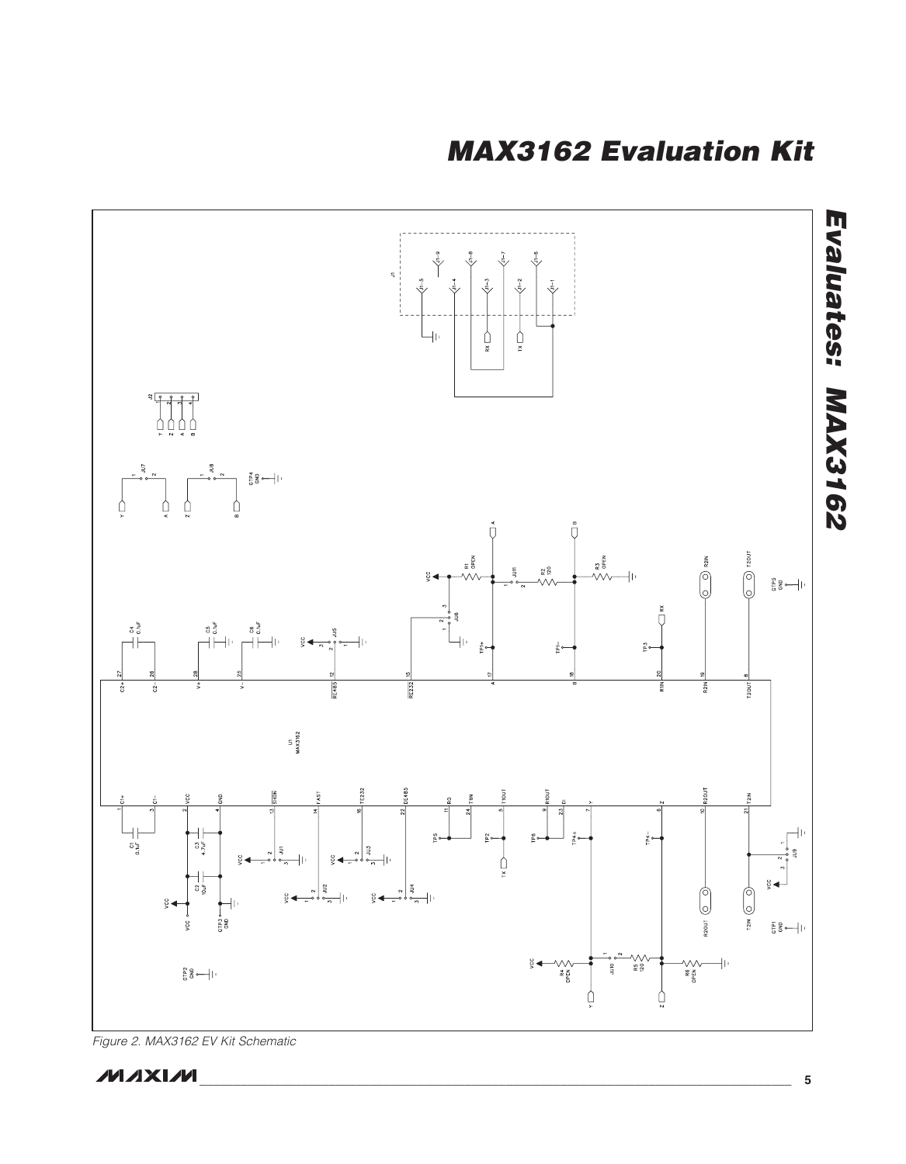*MAX3162 Evaluation Kit*



*Figure 2. MAX3162 EV Kit Schematic*

**MAXIM**